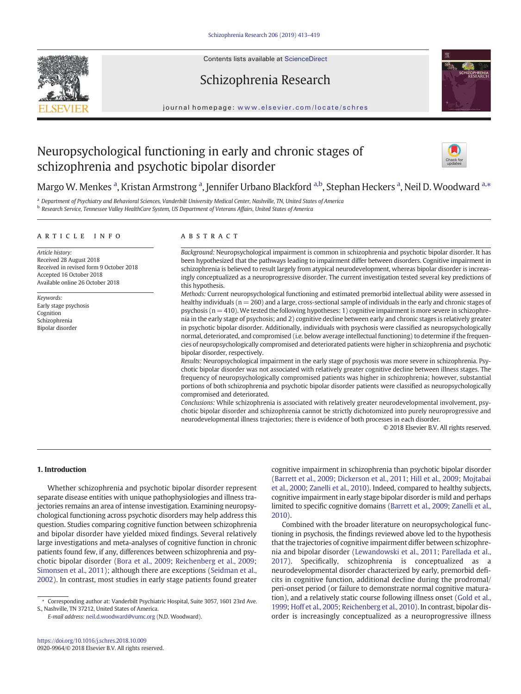Contents lists available at ScienceDirect





# Schizophrenia Research

journal homepage: <www.elsevier.com/locate/schres>

# Neuropsychological functioning in early and chronic stages of schizophrenia and psychotic bipolar disorder



# Margo W. Menkes <sup>a</sup>, Kristan Armstrong <sup>a</sup>, Jennifer Urbano Blackford <sup>a,b</sup>, Stephan Heckers <sup>a</sup>, Neil D. Woodward <sup>a,</sup>\*

<sup>a</sup> Department of Psychiatry and Behavioral Sciences, Vanderbilt University Medical Center, Nashville, TN, United States of America <sup>b</sup> Research Service, Tennessee Valley HealthCare System, US Department of Veterans Affairs, United States of America

#### article info abstract

Article history: Received 28 August 2018 Received in revised form 9 October 2018 Accepted 16 October 2018 Available online 26 October 2018

Keywords: Early stage psychosis Cognition Schizophrenia Bipolar disorder

Background: Neuropsychological impairment is common in schizophrenia and psychotic bipolar disorder. It has been hypothesized that the pathways leading to impairment differ between disorders. Cognitive impairment in schizophrenia is believed to result largely from atypical neurodevelopment, whereas bipolar disorder is increasingly conceptualized as a neuroprogressive disorder. The current investigation tested several key predictions of this hypothesis.

Methods: Current neuropsychological functioning and estimated premorbid intellectual ability were assessed in healthy individuals ( $n = 260$ ) and a large, cross-sectional sample of individuals in the early and chronic stages of psychosis (n = 410). We tested the following hypotheses: 1) cognitive impairment is more severe in schizophrenia in the early stage of psychosis; and 2) cognitive decline between early and chronic stages is relatively greater in psychotic bipolar disorder. Additionally, individuals with psychosis were classified as neuropsychologically normal, deteriorated, and compromised (i.e. below average intellectual functioning) to determine if the frequencies of neuropsychologically compromised and deteriorated patients were higher in schizophrenia and psychotic bipolar disorder, respectively.

Results: Neuropsychological impairment in the early stage of psychosis was more severe in schizophrenia. Psychotic bipolar disorder was not associated with relatively greater cognitive decline between illness stages. The frequency of neuropsychologically compromised patients was higher in schizophrenia; however, substantial portions of both schizophrenia and psychotic bipolar disorder patients were classified as neuropsychologically compromised and deteriorated.

Conclusions: While schizophrenia is associated with relatively greater neurodevelopmental involvement, psychotic bipolar disorder and schizophrenia cannot be strictly dichotomized into purely neuroprogressive and neurodevelopmental illness trajectories; there is evidence of both processes in each disorder.

© 2018 Elsevier B.V. All rights reserved.

#### 1. Introduction

Whether schizophrenia and psychotic bipolar disorder represent separate disease entities with unique pathophysiologies and illness trajectories remains an area of intense investigation. Examining neuropsychological functioning across psychotic disorders may help address this question. Studies comparing cognitive function between schizophrenia and bipolar disorder have yielded mixed findings. Several relatively large investigations and meta-analyses of cognitive function in chronic patients found few, if any, differences between schizophrenia and psychotic bipolar disorder ([Bora et al., 2009](#page-6-0); [Reichenberg et al., 2009;](#page-6-0) [Simonsen et al., 2011](#page-6-0)); although there are exceptions [\(Seidman et al.,](#page-6-0) [2002\)](#page-6-0). In contrast, most studies in early stage patients found greater

E-mail address: <neil.d.woodward@vumc.org> (N.D. Woodward).

cognitive impairment in schizophrenia than psychotic bipolar disorder [\(Barrett et al., 2009](#page-6-0); [Dickerson et al., 2011;](#page-6-0) [Hill et al., 2009](#page-6-0); [Mojtabai](#page-6-0) [et al., 2000](#page-6-0); [Zanelli et al., 2010](#page-6-0)). Indeed, compared to healthy subjects, cognitive impairment in early stage bipolar disorder is mild and perhaps limited to specific cognitive domains ([Barrett et al., 2009](#page-6-0); [Zanelli et al.,](#page-6-0) [2010](#page-6-0)).

Combined with the broader literature on neuropsychological functioning in psychosis, the findings reviewed above led to the hypothesis that the trajectories of cognitive impairment differ between schizophrenia and bipolar disorder [\(Lewandowski et al., 2011;](#page-6-0) [Parellada et al.,](#page-6-0) [2017\)](#page-6-0). Specifically, schizophrenia is conceptualized as a neurodevelopmental disorder characterized by early, premorbid deficits in cognitive function, additional decline during the prodromal/ peri-onset period (or failure to demonstrate normal cognitive maturation), and a relatively static course following illness onset [\(Gold et al.,](#page-6-0) [1999](#page-6-0); [Hoff et al., 2005;](#page-6-0) [Reichenberg et al., 2010](#page-6-0)). In contrast, bipolar disorder is increasingly conceptualized as a neuroprogressive illness

<sup>⁎</sup> Corresponding author at: Vanderbilt Psychiatric Hospital, Suite 3057, 1601 23rd Ave. S., Nashville, TN 37212, United States of America.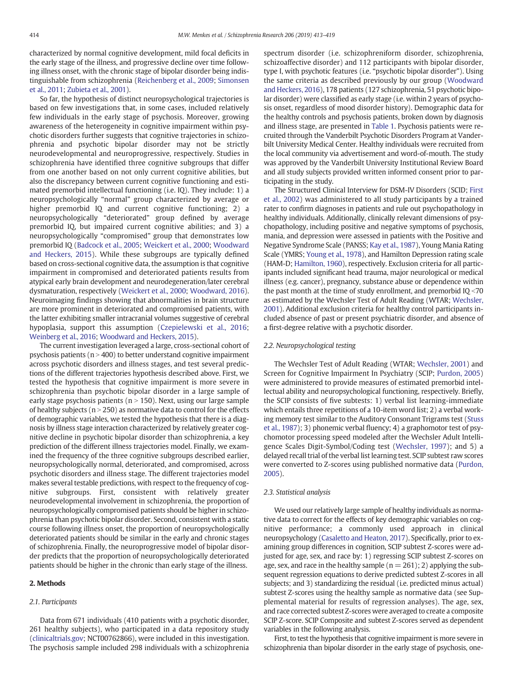characterized by normal cognitive development, mild focal deficits in the early stage of the illness, and progressive decline over time following illness onset, with the chronic stage of bipolar disorder being indistinguishable from schizophrenia [\(Reichenberg et al., 2009](#page-6-0); [Simonsen](#page-6-0) [et al., 2011](#page-6-0); [Zubieta et al., 2001](#page-6-0)).

So far, the hypothesis of distinct neuropsychological trajectories is based on few investigations that, in some cases, included relatively few individuals in the early stage of psychosis. Moreover, growing awareness of the heterogeneity in cognitive impairment within psychotic disorders further suggests that cognitive trajectories in schizophrenia and psychotic bipolar disorder may not be strictly neurodevelopmental and neuroprogressive, respectively. Studies in schizophrenia have identified three cognitive subgroups that differ from one another based on not only current cognitive abilities, but also the discrepancy between current cognitive functioning and estimated premorbid intellectual functioning (i.e. IQ). They include: 1) a neuropsychologically "normal" group characterized by average or higher premorbid IQ and current cognitive functioning; 2) a neuropsychologically "deteriorated" group defined by average premorbid IQ, but impaired current cognitive abilities; and 3) a neuropsychologically "compromised" group that demonstrates low premorbid IQ [\(Badcock et al., 2005;](#page-6-0) [Weickert et al., 2000](#page-6-0); [Woodward](#page-6-0) [and Heckers, 2015\)](#page-6-0). While these subgroups are typically defined based on cross-sectional cognitive data, the assumption is that cognitive impairment in compromised and deteriorated patients results from atypical early brain development and neurodegeneration/later cerebral dysmaturation, respectively ([Weickert et al., 2000;](#page-6-0) [Woodward, 2016\)](#page-6-0). Neuroimaging findings showing that abnormalities in brain structure are more prominent in deteriorated and compromised patients, with the latter exhibiting smaller intracranial volumes suggestive of cerebral hypoplasia, support this assumption ([Czepielewski et al., 2016](#page-6-0); [Weinberg et al., 2016](#page-6-0); [Woodward and Heckers, 2015\)](#page-6-0).

The current investigation leveraged a large, cross-sectional cohort of psychosis patients ( $n > 400$ ) to better understand cognitive impairment across psychotic disorders and illness stages, and test several predictions of the different trajectories hypothesis described above. First, we tested the hypothesis that cognitive impairment is more severe in schizophrenia than psychotic bipolar disorder in a large sample of early stage psychosis patients ( $n > 150$ ). Next, using our large sample of healthy subjects ( $n > 250$ ) as normative data to control for the effects of demographic variables, we tested the hypothesis that there is a diagnosis by illness stage interaction characterized by relatively greater cognitive decline in psychotic bipolar disorder than schizophrenia, a key prediction of the different illness trajectories model. Finally, we examined the frequency of the three cognitive subgroups described earlier, neuropsychologically normal, deteriorated, and compromised, across psychotic disorders and illness stage. The different trajectories model makes several testable predictions, with respect to the frequency of cognitive subgroups. First, consistent with relatively greater neurodevelopmental involvement in schizophrenia, the proportion of neuropsychologically compromised patients should be higher in schizophrenia than psychotic bipolar disorder. Second, consistent with a static course following illness onset, the proportion of neuropsychologically deteriorated patients should be similar in the early and chronic stages of schizophrenia. Finally, the neuroprogressive model of bipolar disorder predicts that the proportion of neuropsychologically deteriorated patients should be higher in the chronic than early stage of the illness.

### 2. Methods

### 2.1. Participants

Data from 671 individuals (410 patients with a psychotic disorder, 261 healthy subjects), who participated in a data repository study [\(clinicaltrials.gov](http://clinicaltrials.gov); NCT00762866), were included in this investigation. The psychosis sample included 298 individuals with a schizophrenia spectrum disorder (i.e. schizophreniform disorder, schizophrenia, schizoaffective disorder) and 112 participants with bipolar disorder, type I, with psychotic features (i.e. "psychotic bipolar disorder"). Using the same criteria as described previously by our group ([Woodward](#page-6-0) [and Heckers, 2016\)](#page-6-0), 178 patients (127 schizophrenia, 51 psychotic bipolar disorder) were classified as early stage (i.e. within 2 years of psychosis onset, regardless of mood disorder history). Demographic data for the healthy controls and psychosis patients, broken down by diagnosis and illness stage, are presented in [Table 1.](#page-2-0) Psychosis patients were recruited through the Vanderbilt Psychotic Disorders Program at Vanderbilt University Medical Center. Healthy individuals were recruited from the local community via advertisement and word-of-mouth. The study was approved by the Vanderbilt University Institutional Review Board and all study subjects provided written informed consent prior to participating in the study.

The Structured Clinical Interview for DSM-IV Disorders (SCID; [First](#page-6-0) [et al., 2002\)](#page-6-0) was administered to all study participants by a trained rater to confirm diagnoses in patients and rule out psychopathology in healthy individuals. Additionally, clinically relevant dimensions of psychopathology, including positive and negative symptoms of psychosis, mania, and depression were assessed in patients with the Positive and Negative Syndrome Scale (PANSS; [Kay et al., 1987](#page-6-0)), Young Mania Rating Scale (YMRS; [Young et al., 1978](#page-6-0)), and Hamilton Depression rating scale (HAM-D; [Hamilton, 1960](#page-6-0)), respectively. Exclusion criteria for all participants included significant head trauma, major neurological or medical illness (e.g. cancer), pregnancy, substance abuse or dependence within the past month at the time of study enrollment, and premorbid  $IQ < 70$ as estimated by the Wechsler Test of Adult Reading (WTAR; [Wechsler,](#page-6-0) [2001\)](#page-6-0). Additional exclusion criteria for healthy control participants included absence of past or present psychiatric disorder, and absence of a first-degree relative with a psychotic disorder.

#### 2.2. Neuropsychological testing

The Wechsler Test of Adult Reading (WTAR; [Wechsler, 2001](#page-6-0)) and Screen for Cognitive Impairment In Psychiatry (SCIP; [Purdon, 2005](#page-6-0)) were administered to provide measures of estimated premorbid intellectual ability and neuropsychological functioning, respectively. Briefly, the SCIP consists of five subtests: 1) verbal list learning-immediate which entails three repetitions of a 10-item word list; 2) a verbal working memory test similar to the Auditory Consonant Trigrams test [\(Stuss](#page-6-0) [et al., 1987\)](#page-6-0); 3) phonemic verbal fluency; 4) a graphomotor test of psychomotor processing speed modeled after the Wechsler Adult Intelligence Scales Digit-Symbol/Coding test ([Wechsler, 1997\)](#page-6-0); and 5) a delayed recall trial of the verbal list learning test. SCIP subtest raw scores were converted to Z-scores using published normative data [\(Purdon,](#page-6-0) [2005\)](#page-6-0).

### 2.3. Statistical analysis

We used our relatively large sample of healthy individuals as normative data to correct for the effects of key demographic variables on cognitive performance; a commonly used approach in clinical neuropsychology ([Casaletto and Heaton, 2017](#page-6-0)). Specifically, prior to examining group differences in cognition, SCIP subtest Z-scores were adjusted for age, sex, and race by: 1) regressing SCIP subtest Z-scores on age, sex, and race in the healthy sample ( $n = 261$ ); 2) applying the subsequent regression equations to derive predicted subtest Z-scores in all subjects; and 3) standardizing the residual (i.e. predicted minus actual) subtest Z-scores using the healthy sample as normative data (see Supplemental material for results of regression analyses). The age, sex, and race corrected subtest Z-scores were averaged to create a composite SCIP Z-score. SCIP Composite and subtest Z-scores served as dependent variables in the following analysis.

First, to test the hypothesis that cognitive impairment is more severe in schizophrenia than bipolar disorder in the early stage of psychosis, one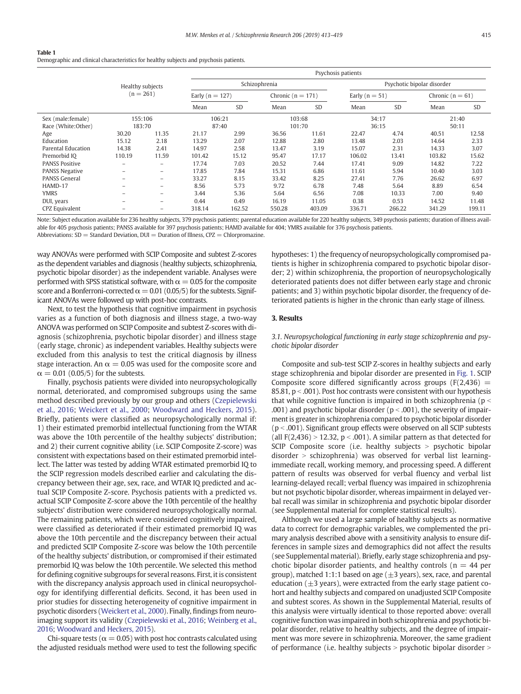<span id="page-2-0"></span>Demographic and clinical characteristics for healthy subjects and psychosis patients.

|                       |                                 |                          | Psychosis patients  |           |                       |           |                            |           |                    |        |
|-----------------------|---------------------------------|--------------------------|---------------------|-----------|-----------------------|-----------|----------------------------|-----------|--------------------|--------|
|                       | Healthy subjects<br>$(n = 261)$ |                          | Schizophrenia       |           |                       |           | Psychotic bipolar disorder |           |                    |        |
|                       |                                 |                          | Early ( $n = 127$ ) |           | Chronic ( $n = 171$ ) |           | Early ( $n = 51$ )         |           | Chronic $(n = 61)$ |        |
|                       |                                 |                          | Mean                | <b>SD</b> | Mean                  | <b>SD</b> | Mean                       | <b>SD</b> | Mean               | SD     |
| Sex (male: female)    | 155:106                         |                          | 106:21              |           | 103:68                |           | 34:17                      |           | 21:40              |        |
| Race (White:Other)    | 183:70                          |                          | 87:40               |           | 101:70                |           | 36:15                      |           | 50:11              |        |
| Age                   | 30.20                           | 11.35                    | 21.17               | 2.99      | 36.56                 | 11.61     | 22.47                      | 4.74      | 40.51              | 12.58  |
| Education             | 15.12                           | 2.18                     | 13.29               | 2.07      | 12.88                 | 2.80      | 13.48                      | 2.03      | 14.64              | 2.33   |
| Parental Education    | 14.38                           | 2.41                     | 14.97               | 2.58      | 13.47                 | 3.19      | 15.07                      | 2.31      | 14.33              | 3.07   |
| Premorbid IO          | 110.19                          | 11.59                    | 101.42              | 15.12     | 95.47                 | 17.17     | 106.02                     | 13.41     | 103.82             | 15.62  |
| <b>PANSS Positive</b> | $\overline{\phantom{0}}$        | $\overline{\phantom{m}}$ | 17.74               | 7.03      | 20.52                 | 7.44      | 17.41                      | 9.09      | 14.82              | 7.22   |
| <b>PANSS Negative</b> | $\overline{\phantom{0}}$        | $\overline{\phantom{0}}$ | 17.85               | 7.84      | 15.31                 | 6.86      | 11.61                      | 5.94      | 10.40              | 3.03   |
| <b>PANSS General</b>  | $\overline{\phantom{0}}$        | $\overline{\phantom{0}}$ | 33.27               | 8.15      | 33.42                 | 8.25      | 27.41                      | 7.76      | 26.62              | 6.97   |
| HAMD-17               | $\overline{\phantom{0}}$        | $\overline{\phantom{0}}$ | 8.56                | 5.73      | 9.72                  | 6.78      | 7.48                       | 5.64      | 8.89               | 6.54   |
| <b>YMRS</b>           | -                               | $\overline{\phantom{0}}$ | 3.44                | 5.36      | 5.64                  | 6.56      | 7.08                       | 10.33     | 7.00               | 9.40   |
| DUI, years            | $\overline{\phantom{0}}$        | $\qquad \qquad =$        | 0.44                | 0.49      | 16.19                 | 11.05     | 0.38                       | 0.53      | 14.52              | 11.48  |
| CPZ Equivalent        |                                 | $\overline{\phantom{m}}$ | 318.14              | 162.52    | 550.28                | 403.09    | 336.71                     | 266.22    | 341.29             | 199.11 |

Note: Subject education available for 236 healthy subjects, 379 psychosis patients; parental education available for 220 healthy subjects, 349 psychosis patients; duration of illness available for 405 psychosis patients; PANSS available for 397 psychosis patients; HAMD available for 404; YMRS available for 376 psychosis patients.

Abbreviations:  $SD = Standard Deviation$ ,  $DUI = Duration$  of Illness,  $CPZ = Chlorpromazine$ .

way ANOVAs were performed with SCIP Composite and subtest Z-scores as the dependent variables and diagnosis (healthy subjects, schizophrenia, psychotic bipolar disorder) as the independent variable. Analyses were performed with SPSS statistical software, with  $\alpha = 0.05$  for the composite score and a Bonferroni-corrected  $\alpha$  = 0.01 (0.05/5) for the subtests. Significant ANOVAs were followed up with post-hoc contrasts.

Next, to test the hypothesis that cognitive impairment in psychosis varies as a function of both diagnosis and illness stage, a two-way ANOVA was performed on SCIP Composite and subtest Z-scores with diagnosis (schizophrenia, psychotic bipolar disorder) and illness stage (early stage, chronic) as independent variables. Healthy subjects were excluded from this analysis to test the critical diagnosis by illness stage interaction. An  $\alpha = 0.05$  was used for the composite score and  $\alpha = 0.01$  (0.05/5) for the subtests.

Finally, psychosis patients were divided into neuropsychologically normal, deteriorated, and compromised subgroups using the same method described previously by our group and others ([Czepielewski](#page-6-0) [et al., 2016](#page-6-0); [Weickert et al., 2000;](#page-6-0) [Woodward and Heckers, 2015](#page-6-0)). Briefly, patients were classified as neuropsychologically normal if: 1) their estimated premorbid intellectual functioning from the WTAR was above the 10th percentile of the healthy subjects' distribution; and 2) their current cognitive ability (i.e. SCIP Composite Z-score) was consistent with expectations based on their estimated premorbid intellect. The latter was tested by adding WTAR estimated premorbid IQ to the SCIP regression models described earlier and calculating the discrepancy between their age, sex, race, and WTAR IQ predicted and actual SCIP Composite Z-score. Psychosis patients with a predicted vs. actual SCIP Composite Z-score above the 10th percentile of the healthy subjects' distribution were considered neuropsychologically normal. The remaining patients, which were considered cognitively impaired, were classified as deteriorated if their estimated premorbid IQ was above the 10th percentile and the discrepancy between their actual and predicted SCIP Composite Z-score was below the 10th percentile of the healthy subjects' distribution, or compromised if their estimated premorbid IQ was below the 10th percentile. We selected this method for defining cognitive subgroups for several reasons. First, it is consistent with the discrepancy analysis approach used in clinical neuropsychology for identifying differential deficits. Second, it has been used in prior studies for dissecting heterogeneity of cognitive impairment in psychotic disorders ([Weickert et al., 2000](#page-6-0)). Finally, findings from neuroimaging support its validity ([Czepielewski et al., 2016;](#page-6-0) [Weinberg et al.,](#page-6-0) [2016](#page-6-0); [Woodward and Heckers, 2015\)](#page-6-0).

Chi-square tests ( $\alpha = 0.05$ ) with post hoc contrasts calculated using the adjusted residuals method were used to test the following specific hypotheses: 1) the frequency of neuropsychologically compromised patients is higher in schizophrenia compared to psychotic bipolar disorder; 2) within schizophrenia, the proportion of neuropsychologically deteriorated patients does not differ between early stage and chronic patients; and 3) within psychotic bipolar disorder, the frequency of deteriorated patients is higher in the chronic than early stage of illness.

#### 3. Results

#### 3.1. Neuropsychological functioning in early stage schizophrenia and psychotic bipolar disorder

Composite and sub-test SCIP Z-scores in healthy subjects and early stage schizophrenia and bipolar disorder are presented in [Fig. 1.](#page-3-0) SCIP Composite score differed significantly across groups  $(F(2,436)$  = 85.81,  $p < .001$ ). Post hoc contrasts were consistent with our hypothesis that while cognitive function is impaired in both schizophrenia ( $p <$ .001) and psychotic bipolar disorder ( $p < .001$ ), the severity of impairment is greater in schizophrenia compared to psychotic bipolar disorder ( $p < .001$ ). Significant group effects were observed on all SCIP subtests (all  $F(2,436) > 12.32$ ,  $p < .001$ ). A similar pattern as that detected for SCIP Composite score (i.e. healthy subjects  $>$  psychotic bipolar disorder  $>$  schizophrenia) was observed for verbal list learningimmediate recall, working memory, and processing speed. A different pattern of results was observed for verbal fluency and verbal list learning-delayed recall; verbal fluency was impaired in schizophrenia but not psychotic bipolar disorder, whereas impairment in delayed verbal recall was similar in schizophrenia and psychotic bipolar disorder (see Supplemental material for complete statistical results).

Although we used a large sample of healthy subjects as normative data to correct for demographic variables, we complemented the primary analysis described above with a sensitivity analysis to ensure differences in sample sizes and demographics did not affect the results (see Supplemental material). Briefly, early stage schizophrenia and psychotic bipolar disorder patients, and healthy controls ( $n = 44$  per group), matched 1:1:1 based on age ( $\pm$ 3 years), sex, race, and parental education  $(\pm 3 \text{ years})$ , were extracted from the early stage patient cohort and healthy subjects and compared on unadjusted SCIP Composite and subtest scores. As shown in the Supplemental Material, results of this analysis were virtually identical to those reported above: overall cognitive function was impaired in both schizophrenia and psychotic bipolar disorder, relative to healthy subjects, and the degree of impairment was more severe in schizophrenia. Moreover, the same gradient of performance (i.e. healthy subjects  $>$  psychotic bipolar disorder  $>$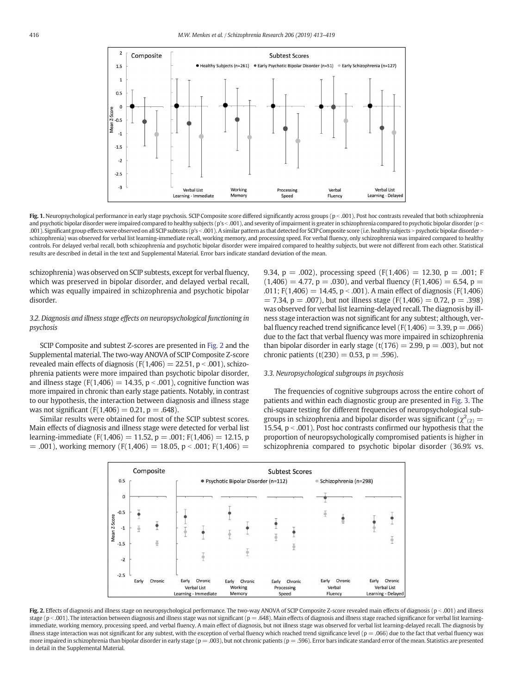<span id="page-3-0"></span>

Fig. 1. Neuropsychological performance in early stage psychosis. SCIP Composite score differed significantly across groups ( $p < .001$ ). Post hoc contrasts revealed that both schizophrenia and psychotic bipolar disorder were impaired compared to healthy subjects (p's < .001), and severity of impairment is greater in schizophrenia compared to psychotic bipolar disorder (p < .001). Significant group effects were observed on all SCIP subtests (p's <.001). A similar pattern as that detected for SCIP Composite score (i.e. healthy subjects > psychotic bipolar disorder > schizophrenia) was observed for verbal list learning-immediate recall, working memory, and processing speed. For verbal fluency, only schizophrenia was impaired compared to healthy controls. For delayed verbal recall, both schizophrenia and psychotic bipolar disorder were impaired compared to healthy subjects, but were not different from each other. Statistical results are described in detail in the text and Supplemental Material. Error bars indicate standard deviation of the mean.

schizophrenia) was observed on SCIP subtests, except for verbal fluency, which was preserved in bipolar disorder, and delayed verbal recall, which was equally impaired in schizophrenia and psychotic bipolar disorder.

## 3.2. Diagnosis and illness stage effects on neuropsychological functioning in psychosis

SCIP Composite and subtest Z-scores are presented in Fig. 2 and the Supplemental material. The two-way ANOVA of SCIP Composite Z-score revealed main effects of diagnosis ( $F(1,406) = 22.51$ ,  $p < .001$ ), schizophrenia patients were more impaired than psychotic bipolar disorder, and illness stage (F(1,406) = 14.35,  $p < .001$ ), cognitive function was more impaired in chronic than early stage patients. Notably, in contrast to our hypothesis, the interaction between diagnosis and illness stage was not significant ( $F(1,406) = 0.21$ ,  $p = .648$ ).

Similar results were obtained for most of the SCIP subtest scores. Main effects of diagnosis and illness stage were detected for verbal list learning-immediate (F(1,406) = 11.52, p = .001; F(1,406) = 12.15, p  $= .001$ ), working memory (F(1,406) = 18.05, p < 0.001; F(1,406) = 9.34, p = .002), processing speed  $(F(1,406) = 12.30, p = .001; F)$  $(1,406) = 4.77$ ,  $p = .030$ ), and verbal fluency  $(F(1,406) = 6.54, p =$ .011;  $F(1,406) = 14.45$ ,  $p < .001$ ). A main effect of diagnosis ( $F(1,406)$ )  $= 7.34$ ,  $p = .007$ ), but not illness stage (F(1,406) = 0.72,  $p = .398$ ) was observed for verbal list learning-delayed recall. The diagnosis by illness stage interaction was not significant for any subtest; although, verbal fluency reached trend significance level ( $F(1,406) = 3.39$ ,  $p = .066$ ) due to the fact that verbal fluency was more impaired in schizophrenia than bipolar disorder in early stage (t(176) = 2.99,  $p = .003$ ), but not chronic patients (t(230) = 0.53, p = .596).

### 3.3. Neuropsychological subgroups in psychosis

The frequencies of cognitive subgroups across the entire cohort of patients and within each diagnostic group are presented in [Fig. 3.](#page-4-0) The chi-square testing for different frequencies of neuropsychological subgroups in schizophrenia and bipolar disorder was significant ( $\chi^2_{(2)} =$ 15.54,  $p < .001$ ). Post hoc contrasts confirmed our hypothesis that the proportion of neuropsychologically compromised patients is higher in schizophrenia compared to psychotic bipolar disorder (36.9% vs.



Fig. 2. Effects of diagnosis and illness stage on neuropsychological performance. The two-way ANOVA of SCIP Composite Z-score revealed main effects of diagnosis (p < .001) and illness stage ( $p$  < .001). The interaction between diagnosis and illness stage was not significant ( $p = .648$ ). Main effects of diagnosis and illness stage reached significance for verbal list learningimmediate, working memory, processing speed, and verbal fluency. A main effect of diagnosis, but not illness stage was observed for verbal list learning-delayed recall. The diagnosis by illness stage interaction was not significant for any subtest, with the exception of verbal fluency which reached trend significance level ( $p = .066$ ) due to the fact that verbal fluency was more impaired in schizophrenia than bipolar disorder in early stage (p = .003), but not chronic patients (p = .596). Error bars indicate standard error of the mean. Statistics are presented in detail in the Supplemental Material.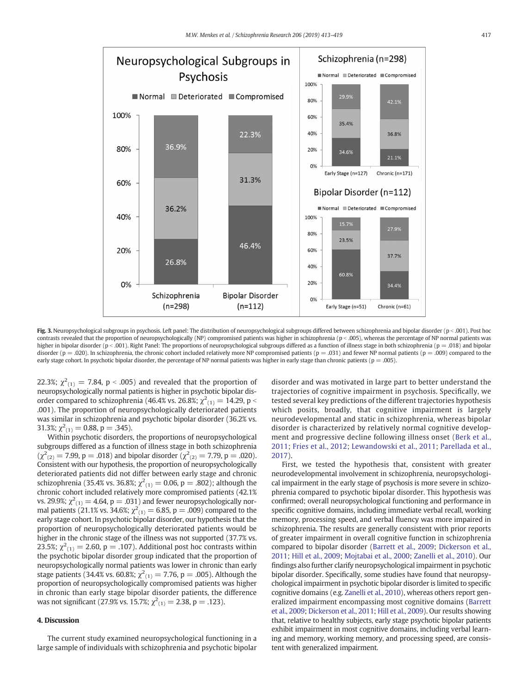<span id="page-4-0"></span>

Fig. 3. Neuropsychological subgroups in psychosis. Left panel: The distribution of neuropsychological subgroups differed between schizophrenia and bipolar disorder (p < .001). Post hoc contrasts revealed that the proportion of neuropsychologically (NP) compromised patients was higher in schizophrenia (p < .005), whereas the percentage of NP normal patients was higher in bipolar disorder (p < .001). Right Panel: The proportions of neuropsychological subgroups differed as a function of illness stage in both schizophrenia (p = .018) and bipolar disorder (p = .020). In schizophrenia, the chronic cohort included relatively more NP compromised patients (p = .031) and fewer NP normal patients (p = .009) compared to the early stage cohort. In psychotic bipolar disorder, the percentage of NP normal patients was higher in early stage than chronic patients ( $p = .005$ ).

22.3%;  $\chi^2_{(1)} = 7.84$ , p < .005) and revealed that the proportion of neuropsychologically normal patients is higher in psychotic bipolar disorder compared to schizophrenia (46.4% vs. 26.8%;  $\chi^2_{(1)}=14.29$ , p  $<$ .001). The proportion of neuropsychologically deteriorated patients was similar in schizophrenia and psychotic bipolar disorder (36.2% vs. 31.3%;  $\chi^2_{(1)} = 0.88$ , p = .345).

Within psychotic disorders, the proportions of neuropsychological subgroups differed as a function of illness stage in both schizophrenia  $(\chi^2_{(2)} = 7.99, p = .018)$  and bipolar disorder  $(\chi^2_{(2)} = 7.79, p = .020)$ . Consistent with our hypothesis, the proportion of neuropsychologically deteriorated patients did not differ between early stage and chronic schizophrenia (35.4% vs. 36.8%;  $\chi^2_{(1)} = 0.06$ , p = .802); although the chronic cohort included relatively more compromised patients (42.1% vs. 29.9%;  $\chi^2_{(1)} = 4.64$ , p = .031) and fewer neuropsychologically normal patients (21.1% vs. 34.6%;  $\chi^2_{(1)} = 6.85$ , p = .009) compared to the early stage cohort. In psychotic bipolar disorder, our hypothesis that the proportion of neuropsychologically deteriorated patients would be higher in the chronic stage of the illness was not supported (37.7% vs. 23.5%;  $\chi^2_{(1)} = 2.60$ , p = .107). Additional post hoc contrasts within the psychotic bipolar disorder group indicated that the proportion of neuropsychologically normal patients was lower in chronic than early stage patients (34.4% vs. 60.8%;  $\chi^2_{(1)} = 7.76$ , p  $= .005$ ). Although the proportion of neuropsychologically compromised patients was higher in chronic than early stage bipolar disorder patients, the difference was not significant (27.9% vs. 15.7%;  $\chi^2_{(1)} = 2.38$ , p = .123).

# 4. Discussion

The current study examined neuropsychological functioning in a large sample of individuals with schizophrenia and psychotic bipolar disorder and was motivated in large part to better understand the trajectories of cognitive impairment in psychosis. Specifically, we tested several key predictions of the different trajectories hypothesis which posits, broadly, that cognitive impairment is largely neurodevelopmental and static in schizophrenia, whereas bipolar disorder is characterized by relatively normal cognitive development and progressive decline following illness onset ([Berk et al.,](#page-6-0) [2011;](#page-6-0) [Fries et al., 2012](#page-6-0); [Lewandowski et al., 2011;](#page-6-0) [Parellada et al.,](#page-6-0) [2017](#page-6-0)).

First, we tested the hypothesis that, consistent with greater neurodevelopmental involvement in schizophrenia, neuropsychological impairment in the early stage of psychosis is more severe in schizophrenia compared to psychotic bipolar disorder. This hypothesis was confirmed; overall neuropsychological functioning and performance in specific cognitive domains, including immediate verbal recall, working memory, processing speed, and verbal fluency was more impaired in schizophrenia. The results are generally consistent with prior reports of greater impairment in overall cognitive function in schizophrenia compared to bipolar disorder [\(Barrett et al., 2009](#page-6-0); [Dickerson et al.,](#page-6-0) [2011;](#page-6-0) [Hill et al., 2009;](#page-6-0) [Mojtabai et al., 2000;](#page-6-0) [Zanelli et al., 2010](#page-6-0)). Our findings also further clarify neuropsychological impairment in psychotic bipolar disorder. Specifically, some studies have found that neuropsychological impairment in psychotic bipolar disorder is limited to specific cognitive domains (e.g. [Zanelli et al., 2010](#page-6-0)), whereas others report generalized impairment encompassing most cognitive domains [\(Barrett](#page-6-0) [et al., 2009](#page-6-0); [Dickerson et al., 2011;](#page-6-0) [Hill et al., 2009\)](#page-6-0). Our results showing that, relative to healthy subjects, early stage psychotic bipolar patients exhibit impairment in most cognitive domains, including verbal learning and memory, working memory, and processing speed, are consistent with generalized impairment.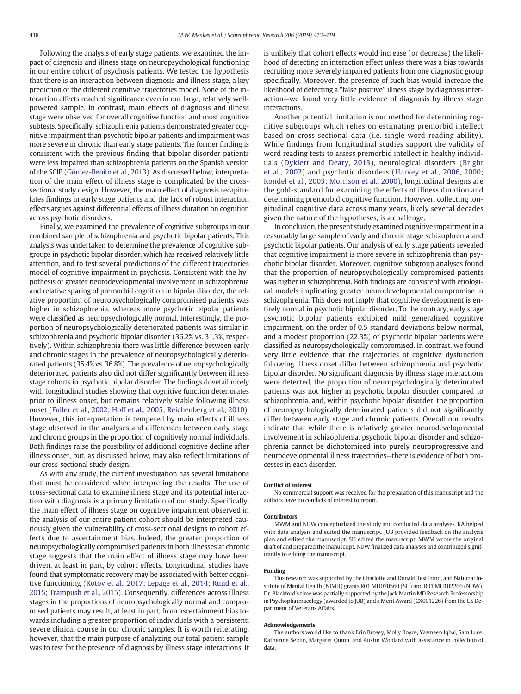Following the analysis of early stage patients, we examined the impact of diagnosis and illness stage on neuropsychological functioning in our entire cohort of psychosis patients. We tested the hypothesis that there is an interaction between diagnosis and illness stage, a key prediction of the different cognitive trajectories model. None of the interaction effects reached significance even in our large, relatively wellpowered sample. In contrast, main effects of diagnosis and illness stage were observed for overall cognitive function and most cognitive subtests. Specifically, schizophrenia patients demonstrated greater cognitive impairment than psychotic bipolar patients and impairment was more severe in chronic than early stage patients. The former finding is consistent with the previous finding that bipolar disorder patients were less impaired than schizophrenia patients on the Spanish version of the SCIP ([Gómez-Benito et al., 2013](#page-6-0)). As discussed below, interpretation of the main effect of illness stage is complicated by the crosssectional study design. However, the main effect of diagnosis recapitulates findings in early stage patients and the lack of robust interaction effects argues against differential effects of illness duration on cognition across psychotic disorders.

Finally, we examined the prevalence of cognitive subgroups in our combined sample of schizophrenia and psychotic bipolar patients. This analysis was undertaken to determine the prevalence of cognitive subgroups in psychotic bipolar disorder, which has received relatively little attention, and to test several predictions of the different trajectories model of cognitive impairment in psychosis. Consistent with the hypothesis of greater neurodevelopmental involvement in schizophrenia and relative sparing of premorbid cognition in bipolar disorder, the relative proportion of neuropsychologically compromised patients was higher in schizophrenia, whereas more psychotic bipolar patients were classified as neuropsychologically normal. Interestingly, the proportion of neuropsychologically deteriorated patients was similar in schizophrenia and psychotic bipolar disorder (36.2% vs. 31.3%, respectively). Within schizophrenia there was little difference between early and chronic stages in the prevalence of neuropsychologically deteriorated patients (35.4% vs. 36.8%). The prevalence of neuropsychologically deteriorated patients also did not differ significantly between illness stage cohorts in psychotic bipolar disorder. The findings dovetail nicely with longitudinal studies showing that cognitive function deteriorates prior to illness onset, but remains relatively stable following illness onset ([Fuller et al., 2002](#page-6-0); [Hoff et al., 2005](#page-6-0); [Reichenberg et al., 2010](#page-6-0)). However, this interpretation is tempered by main effects of illness stage observed in the analyses and differences between early stage and chronic groups in the proportion of cognitively normal individuals. Both findings raise the possibility of additional cognitive decline after illness onset, but, as discussed below, may also reflect limitations of our cross-sectional study design.

As with any study, the current investigation has several limitations that must be considered when interpreting the results. The use of cross-sectional data to examine illness stage and its potential interaction with diagnosis is a primary limitation of our study. Specifically, the main effect of illness stage on cognitive impairment observed in the analysis of our entire patient cohort should be interpreted cautiously given the vulnerability of cross-sectional designs to cohort effects due to ascertainment bias. Indeed, the greater proportion of neuropsychologically compromised patients in both illnesses at chronic stage suggests that the main effect of illness stage may have been driven, at least in part, by cohort effects. Longitudinal studies have found that symptomatic recovery may be associated with better cognitive functioning ([Kotov et al., 2017;](#page-6-0) [Lepage et al., 2014;](#page-6-0) [Rund et al.,](#page-6-0) [2015;](#page-6-0) [Trampush et al., 2015](#page-6-0)). Consequently, differences across illness stages in the proportions of neuropsychologically normal and compromised patients may result, at least in part, from ascertainment bias towards including a greater proportion of individuals with a persistent, severe clinical course in our chronic samples. It is worth reiterating, however, that the main purpose of analyzing our total patient sample was to test for the presence of diagnosis by illness stage interactions. It is unlikely that cohort effects would increase (or decrease) the likelihood of detecting an interaction effect unless there was a bias towards recruiting more severely impaired patients from one diagnostic group specifically. Moreover, the presence of such bias would increase the likelihood of detecting a "false positive" illness stage by diagnosis interaction—we found very little evidence of diagnosis by illness stage interactions.

Another potential limitation is our method for determining cognitive subgroups which relies on estimating premorbid intellect based on cross-sectional data (i.e. single word reading ability). While findings from longitudinal studies support the validity of word reading tests to assess premorbid intellect in healthy individuals ([Dykiert and Deary, 2013\)](#page-6-0), neurological disorders ([Bright](#page-6-0) [et al., 2002](#page-6-0)) and psychotic disorders ([Harvey et al., 2006, 2000](#page-6-0); [Kondel et al., 2003;](#page-6-0) [Morrison et al., 2000\)](#page-6-0), longitudinal designs are the gold-standard for examining the effects of illness duration and determining premorbid cognitive function. However, collecting longitudinal cognitive data across many years, likely several decades given the nature of the hypotheses, is a challenge.

In conclusion, the present study examined cognitive impairment in a reasonably large sample of early and chronic stage schizophrenia and psychotic bipolar patients. Our analysis of early stage patients revealed that cognitive impairment is more severe in schizophrenia than psychotic bipolar disorder. Moreover, cognitive subgroup analyses found that the proportion of neuropsychologically compromised patients was higher in schizophrenia. Both findings are consistent with etiological models implicating greater neurodevelopmental compromise in schizophrenia. This does not imply that cognitive development is entirely normal in psychotic bipolar disorder. To the contrary, early stage psychotic bipolar patients exhibited mild generalized cognitive impairment, on the order of 0.5 standard deviations below normal, and a modest proportion (22.3%) of psychotic bipolar patients were classified as neuropsychologically compromised. In contrast, we found very little evidence that the trajectories of cognitive dysfunction following illness onset differ between schizophrenia and psychotic bipolar disorder. No significant diagnosis by illness stage interactions were detected, the proportion of neuropsychologically deteriorated patients was not higher in psychotic bipolar disorder compared to schizophrenia, and, within psychotic bipolar disorder, the proportion of neuropsychologically deteriorated patients did not significantly differ between early stage and chronic patients. Overall our results indicate that while there is relatively greater neurodevelopmental involvement in schizophrenia, psychotic bipolar disorder and schizophrenia cannot be dichotomized into purely neuroprogressive and neurodevelopmental illness trajectories—there is evidence of both processes in each disorder.

#### Conflict of interest

No commercial support was received for the preparation of this manuscript and the authors have no conflicts of interest to report.

#### Contributors

MWM and NDW conceptualized the study and conducted data analyses. KA helped with data analysis and edited the manuscript. JUB provided feedback on the analysis plan and edited the manuscript. SH edited the manuscript. MWM wrote the original draft of and prepared the manuscript. NDW finalized data analyses and contributed significantly to editing the manuscript.

#### Funding

This research was supported by the Charlotte and Donald Test Fund, and National Institute of Mental Health (NIMH) grants R01 MH070560 (SH) and R01 MH102266 (NDW). Dr. Blackford's time was partially supported by the Jack Martin MD Research Professorship in Psychopharmacology (awarded to JUB) and a Merit Award (CX001226) from the US Department of Veterans Affairs.

#### Acknowledgements

The authors would like to thank Erin Brosey, Molly Boyce, Yasmeen Iqbal, Sam Luce, Katherine Seldin, Margaret Quinn, and Austin Woolard with assistance in collection of data.